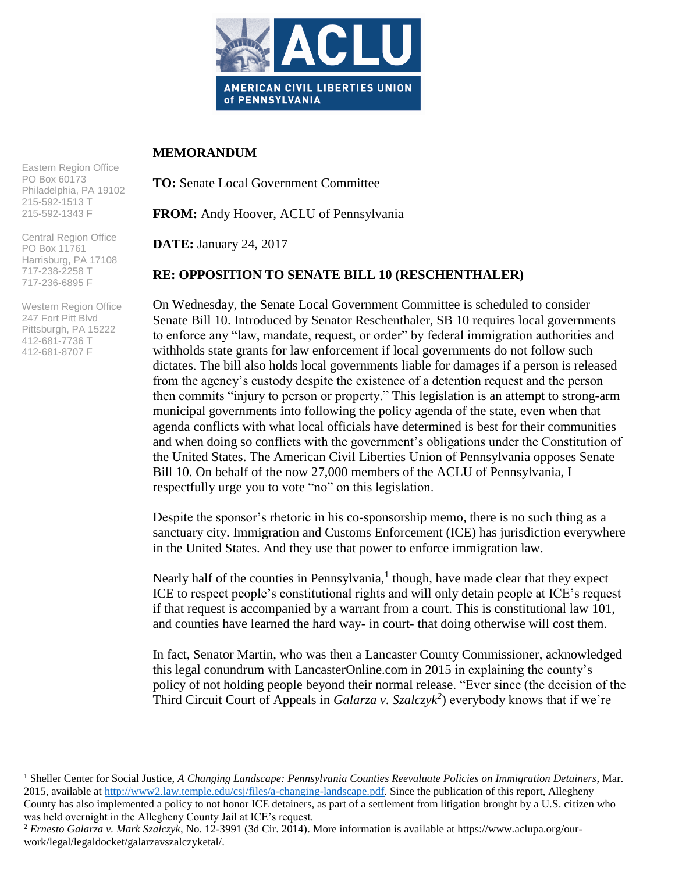

## **MEMORANDUM**

**TO:** Senate Local Government Committee

**FROM:** Andy Hoover, ACLU of Pennsylvania

**DATE:** January 24, 2017

## **RE: OPPOSITION TO SENATE BILL 10 (RESCHENTHALER)**

On Wednesday, the Senate Local Government Committee is scheduled to consider Senate Bill 10. Introduced by Senator Reschenthaler, SB 10 requires local governments to enforce any "law, mandate, request, or order" by federal immigration authorities and withholds state grants for law enforcement if local governments do not follow such dictates. The bill also holds local governments liable for damages if a person is released from the agency's custody despite the existence of a detention request and the person then commits "injury to person or property." This legislation is an attempt to strong-arm municipal governments into following the policy agenda of the state, even when that agenda conflicts with what local officials have determined is best for their communities and when doing so conflicts with the government's obligations under the Constitution of the United States. The American Civil Liberties Union of Pennsylvania opposes Senate Bill 10. On behalf of the now 27,000 members of the ACLU of Pennsylvania, I respectfully urge you to vote "no" on this legislation.

Despite the sponsor's rhetoric in his co-sponsorship memo, there is no such thing as a sanctuary city. Immigration and Customs Enforcement (ICE) has jurisdiction everywhere in the United States. And they use that power to enforce immigration law.

Nearly half of the counties in Pennsylvania,<sup>1</sup> though, have made clear that they expect ICE to respect people's constitutional rights and will only detain people at ICE's request if that request is accompanied by a warrant from a court. This is constitutional law 101, and counties have learned the hard way- in court- that doing otherwise will cost them.

In fact, Senator Martin, who was then a Lancaster County Commissioner, acknowledged this legal conundrum with LancasterOnline.com in 2015 in explaining the county's policy of not holding people beyond their normal release. "Ever since (the decision of the Third Circuit Court of Appeals in *Galarza v. Szalczyk<sup>2</sup>* ) everybody knows that if we're

Eastern Region Office PO Box 60173 Philadelphia, PA 19102 215-592-1513 T 215-592-1343 F

Central Region Office PO Box 11761 Harrisburg, PA 17108 717-238-2258 T 717-236-6895 F

Western Region Office 247 Fort Pitt Blvd Pittsburgh, PA 15222 412-681-7736 T 412-681-8707 F

 $\overline{a}$ 

<sup>1</sup> Sheller Center for Social Justice, *A Changing Landscape: Pennsylvania Counties Reevaluate Policies on Immigration Detainers*, Mar. 2015, available at [http://www2.law.temple.edu/csj/files/a-changing-landscape.pdf.](http://www2.law.temple.edu/csj/files/a-changing-landscape.pdf) Since the publication of this report, Allegheny County has also implemented a policy to not honor ICE detainers, as part of a settlement from litigation brought by a U.S. citizen who was held overnight in the Allegheny County Jail at ICE's request.

<sup>2</sup> *Ernesto Galarza v. Mark Szalczyk*, No. 12-3991 (3d Cir. 2014). More information is available at https://www.aclupa.org/ourwork/legal/legaldocket/galarzavszalczyketal/.